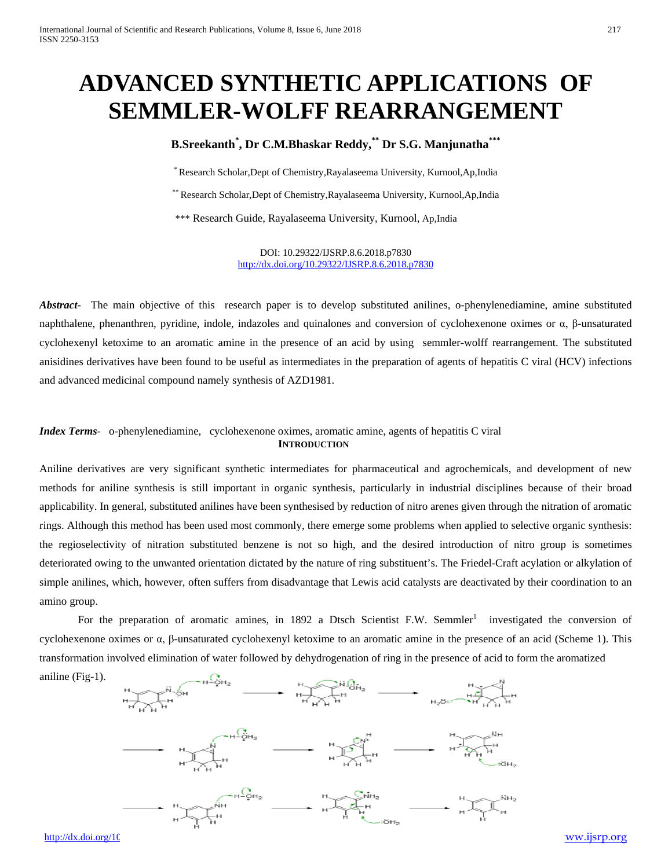# **ADVANCED SYNTHETIC APPLICATIONS OF SEMMLER-WOLFF REARRANGEMENT**

# **B.Sreekanth\* , Dr C.M.Bhaskar Reddy, \*\* Dr S.G. Manjunatha\*\*\***

\*Research Scholar,Dept of Chemistry,Rayalaseema University, Kurnool,Ap,India

\*\* Research Scholar,Dept of Chemistry,Rayalaseema University, Kurnool,Ap,India

\*\*\* Research Guide, Rayalaseema University, Kurnool, Ap,India

DOI: 10.29322/IJSRP.8.6.2018.p7830 <http://dx.doi.org/10.29322/IJSRP.8.6.2018.p7830>

*Abstract***-** The main objective of this research paper is to develop substituted anilines, o-phenylenediamine, amine substituted naphthalene, phenanthren, pyridine, indole, indazoles and quinalones and conversion of cyclohexenone oximes or α, β-unsaturated cyclohexenyl ketoxime to an aromatic amine in the presence of an acid by using semmler-wolff rearrangement. The substituted anisidines derivatives have been found to be useful as intermediates in the preparation of agents of hepatitis C viral (HCV) infections and advanced medicinal compound namely synthesis of AZD1981.

#### *Index Terms*- o-phenylenediamine, cyclohexenone oximes, aromatic amine, agents of hepatitis C viral **INTRODUCTION**

Aniline derivatives are very significant synthetic intermediates for pharmaceutical and agrochemicals, and development of new methods for aniline synthesis is still important in organic synthesis, particularly in industrial disciplines because of their broad applicability. In general, substituted anilines have been synthesised by reduction of nitro arenes given through the nitration of aromatic rings. Although this method has been used most commonly, there emerge some problems when applied to selective organic synthesis: the regioselectivity of nitration substituted benzene is not so high, and the desired introduction of nitro group is sometimes deteriorated owing to the unwanted orientation dictated by the nature of ring substituent's. The Friedel-Craft acylation or alkylation of simple anilines, which, however, often suffers from disadvantage that Lewis acid catalysts are deactivated by their coordination to an amino group.

For the preparation of aromatic amines, in 1892 a Dtsch Scientist F.W. Semmler<sup>1</sup> investigated the conversion of cyclohexenone oximes or α, β-unsaturated cyclohexenyl ketoxime to an aromatic amine in the presence of an acid (Scheme 1). This transformation involved elimination of water followed by dehydrogenation of ring in the presence of acid to form the aromatized



http://dx.doi.org/10.29322/iSRP.8.00332222/iSRP.8.6.2020 [www.ijsrp.org](http://ijsrp.org/)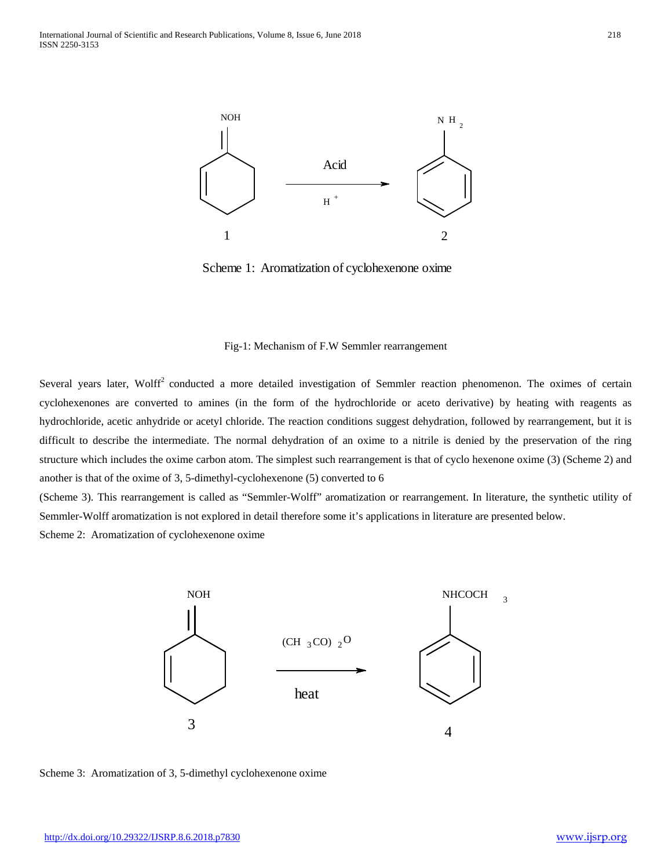

Scheme 1: Aromatization of cyclohexenone oxime

#### Fig-1: Mechanism of F.W Semmler rearrangement

Several years later, Wolff<sup>2</sup> conducted a more detailed investigation of Semmler reaction phenomenon. The oximes of certain cyclohexenones are converted to amines (in the form of the hydrochloride or aceto derivative) by heating with reagents as hydrochloride, acetic anhydride or acetyl chloride. The reaction conditions suggest dehydration, followed by rearrangement, but it is difficult to describe the intermediate. The normal dehydration of an oxime to a nitrile is denied by the preservation of the ring structure which includes the oxime carbon atom. The simplest such rearrangement is that of cyclo hexenone oxime (3) (Scheme 2) and another is that of the oxime of 3, 5-dimethyl-cyclohexenone (5) converted to 6

(Scheme 3). This rearrangement is called as "Semmler-Wolff" aromatization or rearrangement. In literature, the synthetic utility of Semmler-Wolff aromatization is not explored in detail therefore some it's applications in literature are presented below. Scheme 2: Aromatization of cyclohexenone oxime



Scheme 3: Aromatization of 3, 5-dimethyl cyclohexenone oxime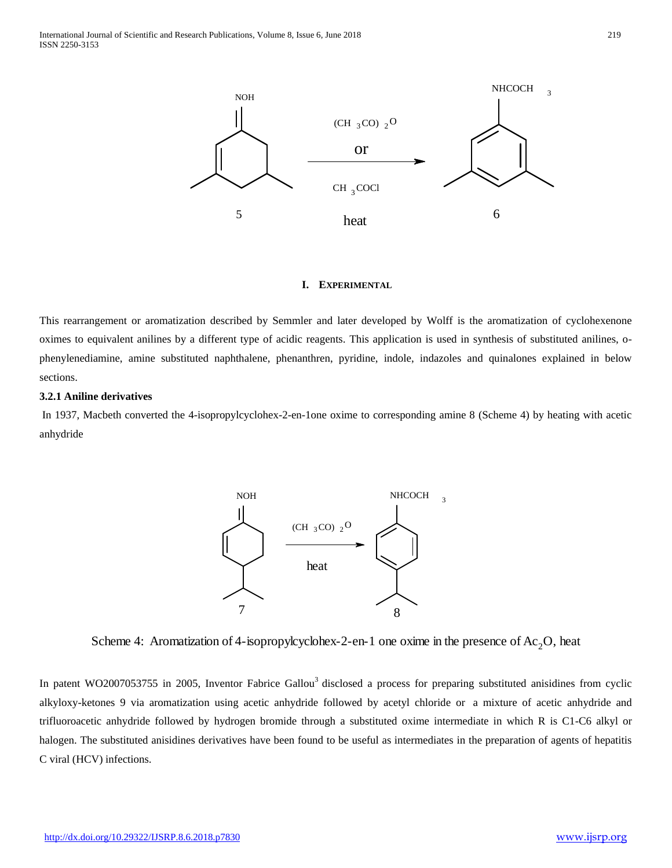

### **I. EXPERIMENTAL**

This rearrangement or aromatization described by Semmler and later developed by Wolff is the aromatization of cyclohexenone oximes to equivalent anilines by a different type of acidic reagents. This application is used in synthesis of substituted anilines, ophenylenediamine, amine substituted naphthalene, phenanthren, pyridine, indole, indazoles and quinalones explained in below sections.

### **3.2.1 Aniline derivatives**

In 1937, Macbeth converted the 4-isopropylcyclohex-2-en-1one oxime to corresponding amine 8 (Scheme 4) by heating with acetic anhydride



Scheme 4: Aromatization of 4-isopropylcyclohex-2-en-1 one oxime in the presence of  $Ac_2O$ , heat

In patent WO2007053755 in 2005, Inventor Fabrice Gallou<sup>3</sup> disclosed a process for preparing substituted anisidines from cyclic alkyloxy-ketones 9 via aromatization using acetic anhydride followed by acetyl chloride or a mixture of acetic anhydride and trifluoroacetic anhydride followed by hydrogen bromide through a substituted oxime intermediate in which R is C1-C6 alkyl or halogen. The substituted anisidines derivatives have been found to be useful as intermediates in the preparation of agents of hepatitis C viral (HCV) infections.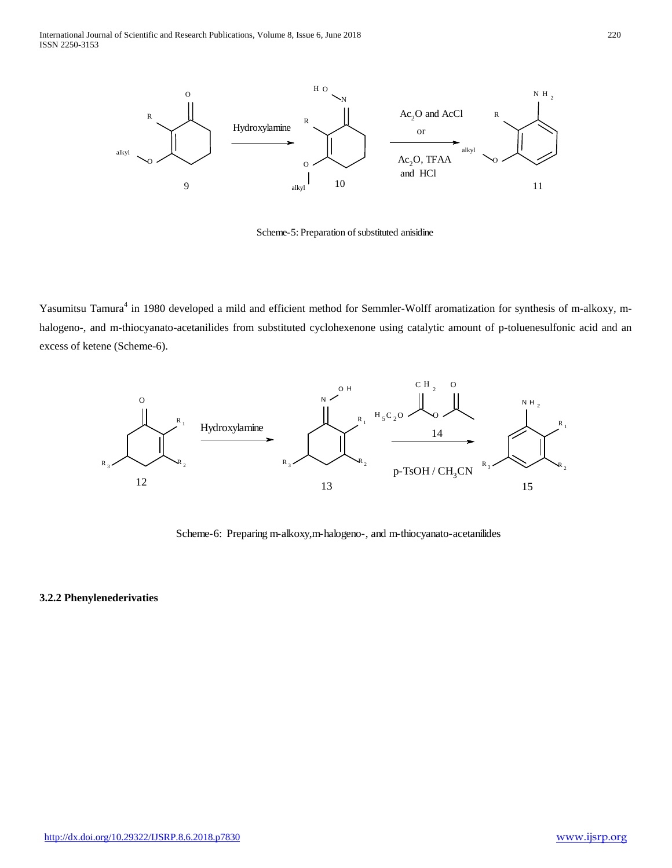

Scheme-5: Preparation of substituted anisidine

Yasumitsu Tamura<sup>4</sup> in 1980 developed a mild and efficient method for Semmler-Wolff aromatization for synthesis of m-alkoxy, mhalogeno-, and m-thiocyanato-acetanilides from substituted cyclohexenone using catalytic amount of p-toluenesulfonic acid and an excess of ketene (Scheme-6).



Scheme-6: Preparing m-alkoxy,m-halogeno-, and m-thiocyanato-acetanilides

#### **3.2.2 Phenylenederivaties**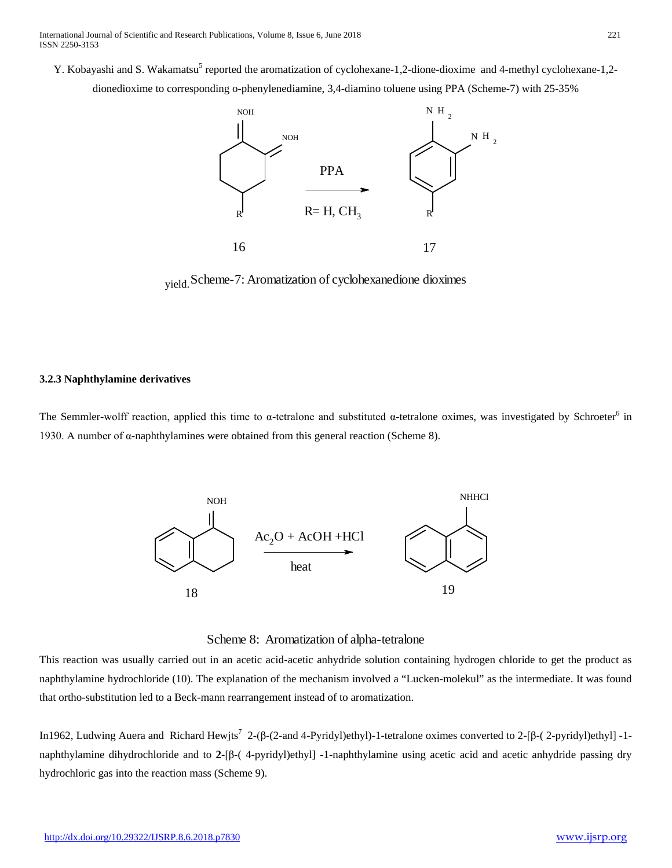Y. Kobayashi and S. Wakamatsu<sup>5</sup> reported the aromatization of cyclohexane-1,2-dione-dioxime and 4-methyl cyclohexane-1,2dionedioxime to corresponding o-phenylenediamine, 3,4-diamino toluene using PPA (Scheme-7) with 25-35%



yield. Scheme-7: Aromatization of cyclohexanedione dioximes

#### **3.2.3 Naphthylamine derivatives**

The Semmler-wolff reaction, applied this time to  $\alpha$ -tetralone and substituted  $\alpha$ -tetralone oximes, was investigated by Schroeter<sup>6</sup> in 1930. A number of  $\alpha$ -naphthylamines were obtained from this general reaction (Scheme 8).



Scheme 8: Aromatization of alpha-tetralone

This reaction was usually carried out in an acetic acid-acetic anhydride solution containing hydrogen chloride to get the product as naphthylamine hydrochloride (10). The explanation of the mechanism involved a "Lucken-molekul" as the intermediate. It was found that ortho-substitution led to a Beck-mann rearrangement instead of to aromatization.

In1962, Ludwing Auera and Richard Hewjts<sup>7</sup> 2-(β-(2-and 4-Pyridyl)ethyl)-1-tetralone oximes converted to 2-[β-(2-pyridyl)ethyl] -1naphthylamine dihydrochloride and to **2-**[β-( 4-pyridyl)ethyl] -1-naphthylamine using acetic acid and acetic anhydride passing dry hydrochloric gas into the reaction mass (Scheme 9).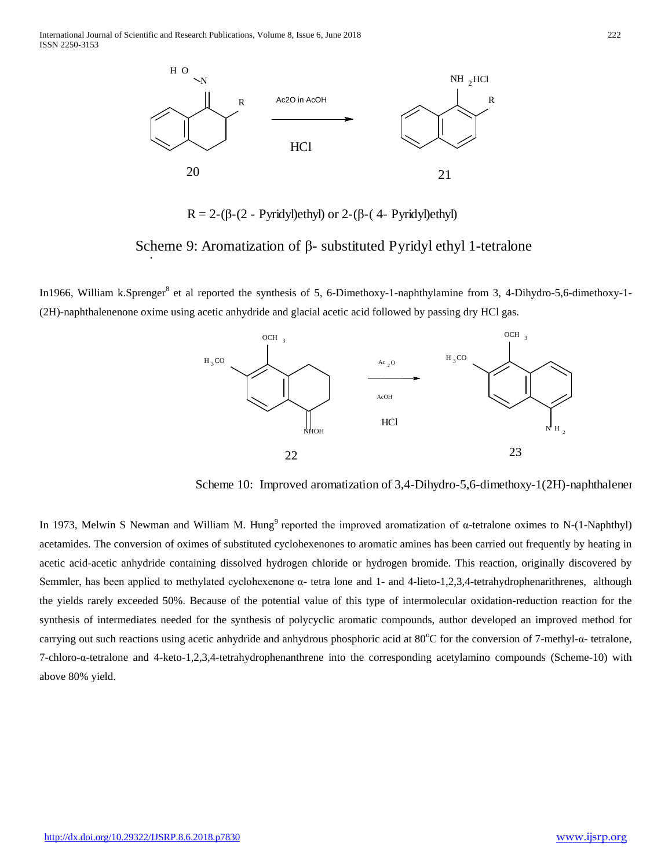International Journal of Scientific and Research Publications, Volume 8, Issue 6, June 2018 222 ISSN 2250-3153

i



R = 2-( $\beta$ -(2 - Pyridyl)ethyl) or 2-( $\beta$ -(4 - Pyridyl)ethyl)

Scheme 9: Aromatization of β- substituted Pyridyl ethyl 1-tetralone

In1966, William k.Sprenger<sup>8</sup> et al reported the synthesis of 5, 6-Dimethoxy-1-naphthylamine from 3, 4-Dihydro-5,6-dimethoxy-1-(2H)-naphthalenenone oxime using acetic anhydride and glacial acetic acid followed by passing dry HCl gas.



Scheme 10: Improved aromatization of 3,4-Dihydro-5,6-dimethoxy-1(2H)-naphthalener

In 1973, Melwin S Newman and William M. Hung<sup>9</sup> reported the improved aromatization of α-tetralone oximes to N-(1-Naphthyl) acetamides. The conversion of oximes of substituted cyclohexenones to aromatic amines has been carried out frequently by heating in acetic acid-acetic anhydride containing dissolved hydrogen chloride or hydrogen bromide. This reaction, originally discovered by Semmler, has been applied to methylated cyclohexenone α- tetra lone and 1- and 4-lieto-1,2,3,4-tetrahydrophenarithrenes, although the yields rarely exceeded 50%. Because of the potential value of this type of intermolecular oxidation-reduction reaction for the synthesis of intermediates needed for the synthesis of polycyclic aromatic compounds, author developed an improved method for carrying out such reactions using acetic anhydride and anhydrous phosphoric acid at 80°C for the conversion of 7-methyl-α- tetralone, 7-chloro-α-tetralone and 4-keto-1,2,3,4-tetrahydrophenanthrene into the corresponding acetylamino compounds (Scheme-10) with above 80% yield.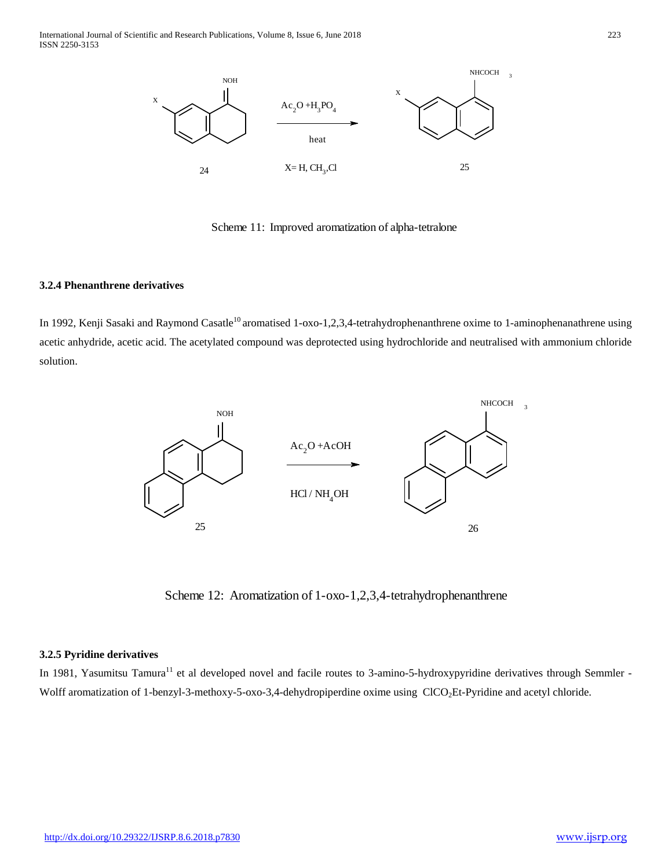

Scheme 11: Improved aromatization of alpha-tetralone

#### **3.2.4 Phenanthrene derivatives**

In 1992, Kenji Sasaki and Raymond Casatle<sup>10</sup> aromatised 1-oxo-1,2,3,4-tetrahydrophenanthrene oxime to 1-aminophenanathrene using acetic anhydride, acetic acid. The acetylated compound was deprotected using hydrochloride and neutralised with ammonium chloride solution.



Scheme 12: Aromatization of 1-oxo-1,2,3,4-tetrahydrophenanthrene

### **3.2.5 Pyridine derivatives**

In 1981, Yasumitsu Tamura<sup>11</sup> et al developed novel and facile routes to 3-amino-5-hydroxypyridine derivatives through Semmler -Wolff aromatization of 1-benzyl-3-methoxy-5-oxo-3,4-dehydropiperdine oxime using ClCO<sub>2</sub>Et-Pyridine and acetyl chloride.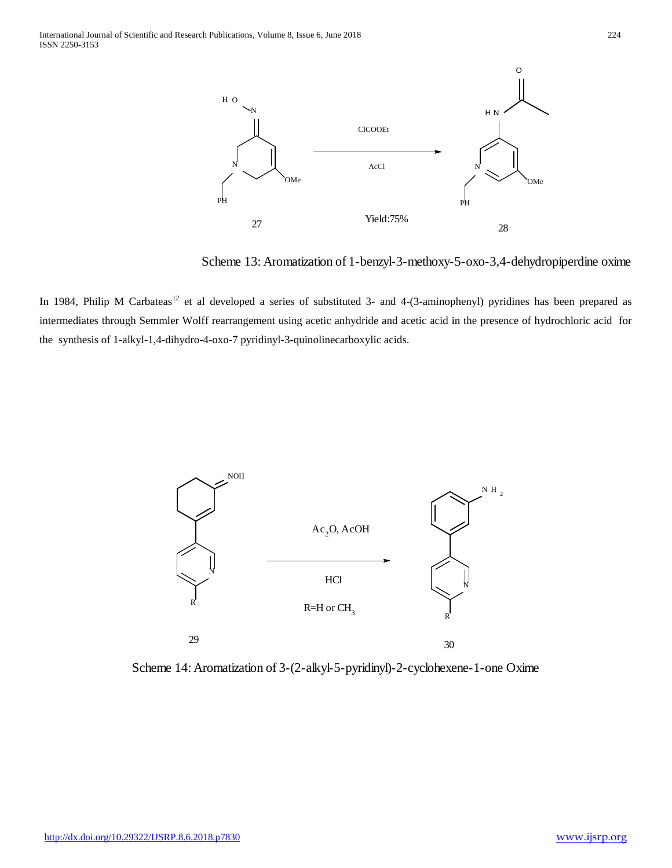

Scheme 13: Aromatization of 1-benzyl-3-methoxy-5-oxo-3,4-dehydropiperdine oxime

In 1984, Philip M Carbateas<sup>12</sup> et al developed a series of substituted 3- and 4-(3-aminophenyl) pyridines has been prepared as intermediates through Semmler Wolff rearrangement using acetic anhydride and acetic acid in the presence of hydrochloric acid for the synthesis of 1-alkyl-1,4-dihydro-4-oxo-7 pyridinyl-3-quinolinecarboxylic acids.



Scheme 14: Aromatization of 3-(2-alkyl-5-pyridinyl)-2-cyclohexene-1-one Oxime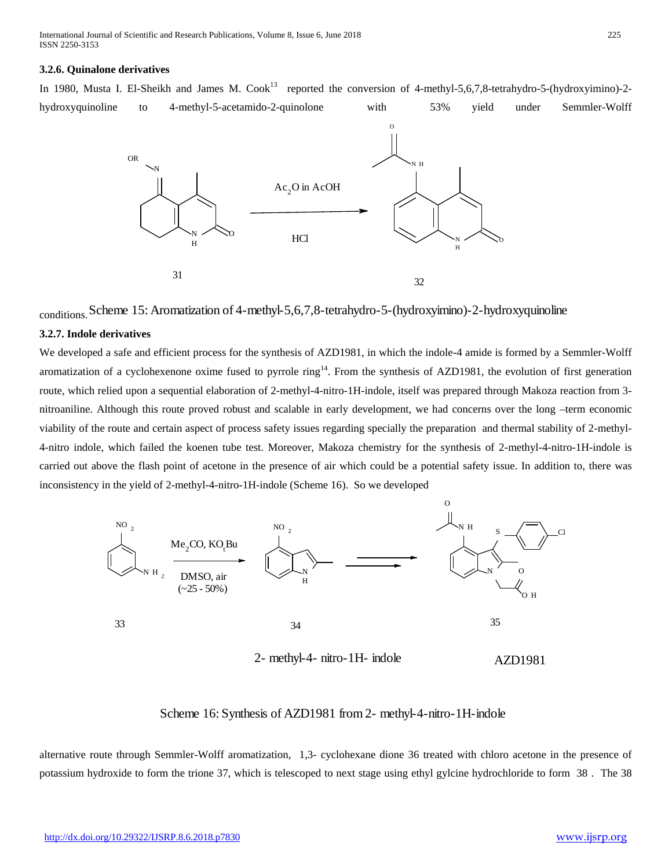International Journal of Scientific and Research Publications, Volume 8, Issue 6, June 2018 225 ISSN 2250-3153

#### **3.2.6. Quinalone derivatives**

In 1980, Musta I. El-Sheikh and James M. Cook<sup>13</sup> reported the conversion of 4-methyl-5,6,7,8-tetrahydro-5-(hydroxyimino)-2hydroxyquinoline to 4-methyl-5-acetamido-2-quinolone with 53% yield under Semmler-Wolff



conditions. Scheme 15: Aromatization of 4-methyl-5,6,7,8-tetrahydro-5-(hydroxyimino)-2-hydroxyquinoline

#### **3.2.7. Indole derivatives**

We developed a safe and efficient process for the synthesis of AZD1981, in which the indole-4 amide is formed by a Semmler-Wolff aromatization of a cyclohexenone oxime fused to pyrrole ring<sup>14</sup>. From the synthesis of AZD1981, the evolution of first generation route, which relied upon a sequential elaboration of 2-methyl-4-nitro-1H-indole, itself was prepared through Makoza reaction from 3 nitroaniline. Although this route proved robust and scalable in early development, we had concerns over the long –term economic viability of the route and certain aspect of process safety issues regarding specially the preparation and thermal stability of 2-methyl-4-nitro indole, which failed the koenen tube test. Moreover, Makoza chemistry for the synthesis of 2-methyl-4-nitro-1H-indole is carried out above the flash point of acetone in the presence of air which could be a potential safety issue. In addition to, there was inconsistency in the yield of 2-methyl-4-nitro-1H-indole (Scheme 16). So we developed



2- methyl-4- nitro-1H- indole AZD1981

# Scheme 16: Synthesis of AZD1981 from 2- methyl-4-nitro-1H-indole

alternative route through Semmler-Wolff aromatization, 1,3- cyclohexane dione 36 treated with chloro acetone in the presence of potassium hydroxide to form the trione 37, which is telescoped to next stage using ethyl gylcine hydrochloride to form 38 . The 38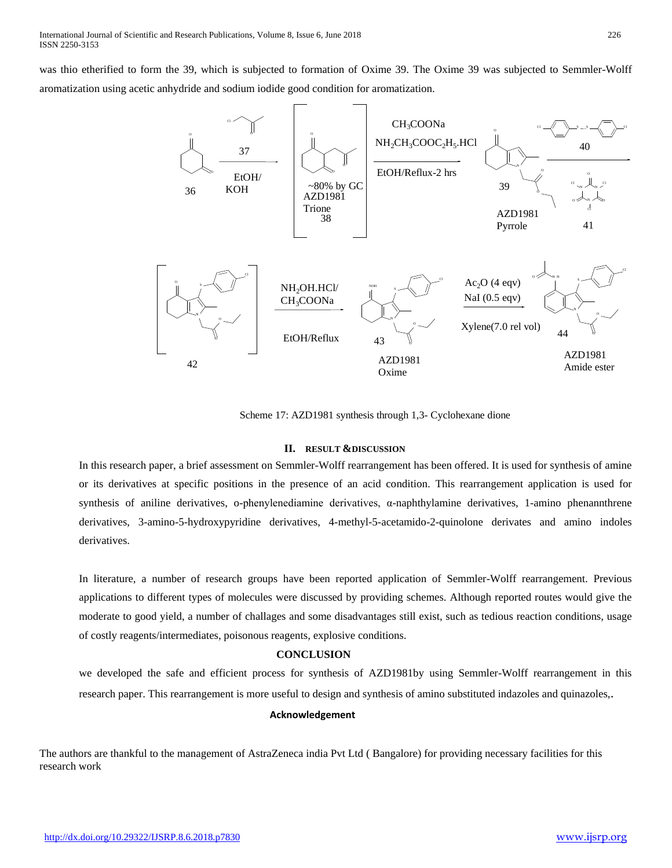was thio etherified to form the 39, which is subjected to formation of Oxime 39. The Oxime 39 was subjected to Semmler-Wolff aromatization using acetic anhydride and sodium iodide good condition for aromatization.



Scheme 17: AZD1981 synthesis through 1,3- Cyclohexane dione

#### **II. RESULT &DISCUSSION**

In this research paper, a brief assessment on Semmler-Wolff rearrangement has been offered. It is used for synthesis of amine or its derivatives at specific positions in the presence of an acid condition. This rearrangement application is used for synthesis of aniline derivatives, o-phenylenediamine derivatives, α-naphthylamine derivatives, 1-amino phenannthrene derivatives, 3-amino-5-hydroxypyridine derivatives, 4-methyl-5-acetamido-2-quinolone derivates and amino indoles derivatives.

In literature, a number of research groups have been reported application of Semmler-Wolff rearrangement. Previous applications to different types of molecules were discussed by providing schemes. Although reported routes would give the moderate to good yield, a number of challages and some disadvantages still exist, such as tedious reaction conditions, usage of costly reagents/intermediates, poisonous reagents, explosive conditions.

#### **CONCLUSION**

we developed the safe and efficient process for synthesis of AZD1981by using Semmler-Wolff rearrangement in this research paper. This rearrangement is more useful to design and synthesis of amino substituted indazoles and quinazoles,.

#### **Acknowledgement**

The authors are thankful to the management of AstraZeneca india Pvt Ltd ( Bangalore) for providing necessary facilities for this research work